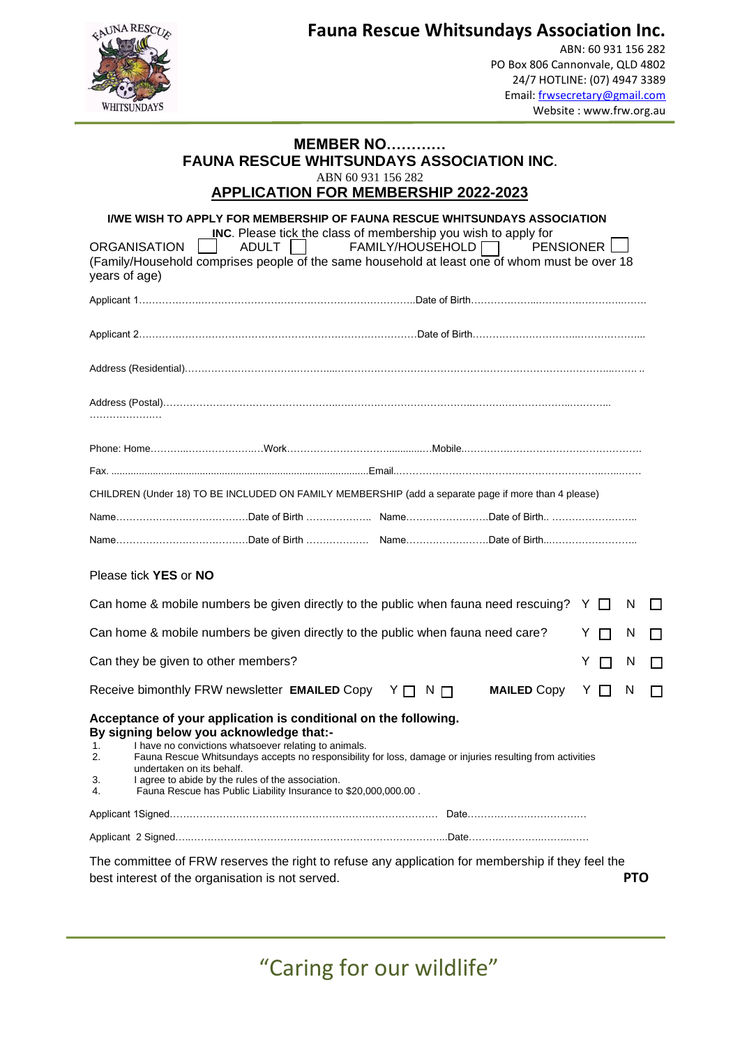

**Fauna Rescue Whitsundays Association Inc.** 

ABN: 60 931 156 282 PO Box 806 Cannonvale, QLD 4802 24/7 HOTLINE: (07) 4947 3389 Email: [frwsecretary@gmail.com](mailto:frwsecretary@gmail.com)  Website : www.frw.org.au

## **MEMBER NO………… FAUNA RESCUE WHITSUNDAYS ASSOCIATION INC.** ABN 60 931 156 282

## **APPLICATION FOR MEMBERSHIP 2022-2023**

| years of age)        | I/WE WISH TO APPLY FOR MEMBERSHIP OF FAUNA RESCUE WHITSUNDAYS ASSOCIATION<br><b>INC.</b> Please tick the class of membership you wish to apply for<br><b>ORGANISATION</b><br>ADULT<br>(Family/Household comprises people of the same household at least one of whom must be over 18                                                                                                                                                   | <b>FAMILY/HOUSEHOLD</b> | <b>PENSIONER</b>   |         |   |              |  |  |
|----------------------|---------------------------------------------------------------------------------------------------------------------------------------------------------------------------------------------------------------------------------------------------------------------------------------------------------------------------------------------------------------------------------------------------------------------------------------|-------------------------|--------------------|---------|---|--------------|--|--|
|                      |                                                                                                                                                                                                                                                                                                                                                                                                                                       |                         |                    |         |   |              |  |  |
|                      |                                                                                                                                                                                                                                                                                                                                                                                                                                       |                         |                    |         |   |              |  |  |
|                      |                                                                                                                                                                                                                                                                                                                                                                                                                                       |                         |                    |         |   |              |  |  |
|                      |                                                                                                                                                                                                                                                                                                                                                                                                                                       |                         |                    |         |   |              |  |  |
|                      |                                                                                                                                                                                                                                                                                                                                                                                                                                       |                         |                    |         |   |              |  |  |
|                      |                                                                                                                                                                                                                                                                                                                                                                                                                                       |                         |                    |         |   |              |  |  |
|                      | CHILDREN (Under 18) TO BE INCLUDED ON FAMILY MEMBERSHIP (add a separate page if more than 4 please)                                                                                                                                                                                                                                                                                                                                   |                         |                    |         |   |              |  |  |
|                      |                                                                                                                                                                                                                                                                                                                                                                                                                                       |                         |                    |         |   |              |  |  |
|                      |                                                                                                                                                                                                                                                                                                                                                                                                                                       |                         |                    |         |   |              |  |  |
|                      | Please tick YES or NO                                                                                                                                                                                                                                                                                                                                                                                                                 |                         |                    |         |   |              |  |  |
|                      | Can home & mobile numbers be given directly to the public when fauna need rescuing? $Y \Box$                                                                                                                                                                                                                                                                                                                                          |                         |                    |         | N | $\mathbf{L}$ |  |  |
|                      | Can home & mobile numbers be given directly to the public when fauna need care?                                                                                                                                                                                                                                                                                                                                                       |                         |                    | Y.<br>П | N | H            |  |  |
|                      | Can they be given to other members?                                                                                                                                                                                                                                                                                                                                                                                                   |                         |                    | Y.<br>П | N |              |  |  |
|                      | Receive bimonthly FRW newsletter EMAILED Copy Y O N O                                                                                                                                                                                                                                                                                                                                                                                 |                         | <b>MAILED Copy</b> | Y.<br>П | N |              |  |  |
| 1.<br>2.<br>3.<br>4. | Acceptance of your application is conditional on the following.<br>By signing below you acknowledge that:-<br>I have no convictions whatsoever relating to animals.<br>Fauna Rescue Whitsundays accepts no responsibility for loss, damage or injuries resulting from activities<br>undertaken on its behalf.<br>I agree to abide by the rules of the association.<br>Fauna Rescue has Public Liability Insurance to \$20,000,000.00. |                         |                    |         |   |              |  |  |
|                      |                                                                                                                                                                                                                                                                                                                                                                                                                                       |                         |                    |         |   |              |  |  |
|                      |                                                                                                                                                                                                                                                                                                                                                                                                                                       |                         |                    |         |   |              |  |  |
|                      | The committee of FRW reserves the right to refuse any application for membership if they feel the<br>best interest of the organisation is not served.                                                                                                                                                                                                                                                                                 |                         |                    |         |   | <b>PTO</b>   |  |  |

"Caring for our wildlife"